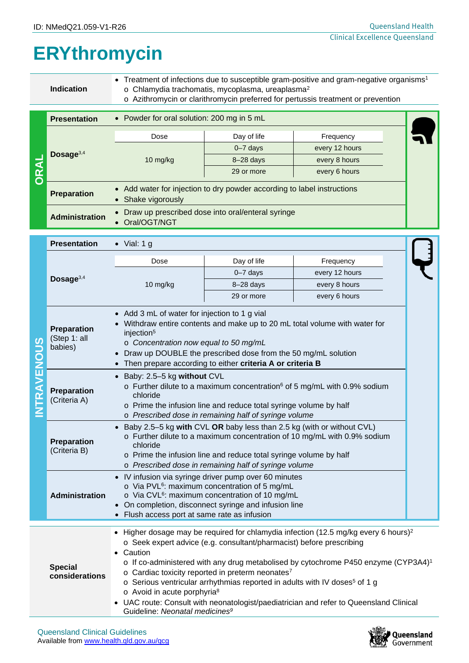## **ERYthromycin**

|                                  | <b>Indication</b>                      | Treatment of infections due to susceptible gram-positive and gram-negative organisms <sup>1</sup><br>o Chlamydia trachomatis, mycoplasma, ureaplasma <sup>2</sup><br>o Azithromycin or clarithromycin preferred for pertussis treatment or prevention                                                                                                                                                                                                                                                                                                                                                                               |              |                |  |  |  |
|----------------------------------|----------------------------------------|-------------------------------------------------------------------------------------------------------------------------------------------------------------------------------------------------------------------------------------------------------------------------------------------------------------------------------------------------------------------------------------------------------------------------------------------------------------------------------------------------------------------------------------------------------------------------------------------------------------------------------------|--------------|----------------|--|--|--|
|                                  | <b>Presentation</b>                    | • Powder for oral solution: 200 mg in 5 mL                                                                                                                                                                                                                                                                                                                                                                                                                                                                                                                                                                                          |              |                |  |  |  |
| <b>ORAL</b>                      | Dosage <sup>3,4</sup>                  | Dose                                                                                                                                                                                                                                                                                                                                                                                                                                                                                                                                                                                                                                | Day of life  | Frequency      |  |  |  |
|                                  |                                        | 10 mg/kg                                                                                                                                                                                                                                                                                                                                                                                                                                                                                                                                                                                                                            | $0 - 7$ days | every 12 hours |  |  |  |
|                                  |                                        |                                                                                                                                                                                                                                                                                                                                                                                                                                                                                                                                                                                                                                     | $8-28$ days  | every 8 hours  |  |  |  |
|                                  |                                        |                                                                                                                                                                                                                                                                                                                                                                                                                                                                                                                                                                                                                                     | 29 or more   | every 6 hours  |  |  |  |
|                                  | <b>Preparation</b>                     | Add water for injection to dry powder according to label instructions<br>Shake vigorously                                                                                                                                                                                                                                                                                                                                                                                                                                                                                                                                           |              |                |  |  |  |
|                                  | <b>Administration</b>                  | Draw up prescribed dose into oral/enteral syringe<br>$\bullet$<br>Oral/OGT/NGT                                                                                                                                                                                                                                                                                                                                                                                                                                                                                                                                                      |              |                |  |  |  |
|                                  | <b>Presentation</b>                    | $\bullet$ Vial: 1 g                                                                                                                                                                                                                                                                                                                                                                                                                                                                                                                                                                                                                 |              |                |  |  |  |
|                                  |                                        | Dose                                                                                                                                                                                                                                                                                                                                                                                                                                                                                                                                                                                                                                | Day of life  | Frequency      |  |  |  |
| S<br>TRAVENOU                    | Dosage <sup>3,4</sup>                  |                                                                                                                                                                                                                                                                                                                                                                                                                                                                                                                                                                                                                                     | $0 - 7$ days | every 12 hours |  |  |  |
|                                  |                                        | 10 mg/kg                                                                                                                                                                                                                                                                                                                                                                                                                                                                                                                                                                                                                            | $8-28$ days  | every 8 hours  |  |  |  |
|                                  |                                        |                                                                                                                                                                                                                                                                                                                                                                                                                                                                                                                                                                                                                                     | 29 or more   | every 6 hours  |  |  |  |
|                                  | Preparation<br>(Step 1: all<br>babies) | Withdraw entire contents and make up to 20 mL total volume with water for<br>injection <sup>5</sup><br>o Concentration now equal to 50 mg/mL<br>Draw up DOUBLE the prescribed dose from the 50 mg/mL solution<br>Then prepare according to either criteria A or criteria B                                                                                                                                                                                                                                                                                                                                                          |              |                |  |  |  |
|                                  | <b>Preparation</b><br>(Criteria A)     | Baby: 2.5-5 kg without CVL<br>$\circ$ Further dilute to a maximum concentration <sup>6</sup> of 5 mg/mL with 0.9% sodium<br>chloride<br>o Prime the infusion line and reduce total syringe volume by half<br>o Prescribed dose in remaining half of syringe volume                                                                                                                                                                                                                                                                                                                                                                  |              |                |  |  |  |
|                                  | Preparation<br>(Criteria B)            | Baby 2.5-5 kg with CVL OR baby less than 2.5 kg (with or without CVL)<br>$\bullet$<br>o Further dilute to a maximum concentration of 10 mg/mL with 0.9% sodium<br>chloride<br>o Prime the infusion line and reduce total syringe volume by half<br>o Prescribed dose in remaining half of syringe volume                                                                                                                                                                                                                                                                                                                            |              |                |  |  |  |
|                                  | Administration                         | IV infusion via syringe driver pump over 60 minutes<br>o Via PVL <sup>6</sup> : maximum concentration of 5 mg/mL<br>o Via CVL <sup>6</sup> : maximum concentration of 10 mg/mL<br>On completion, disconnect syringe and infusion line<br>• Flush access port at same rate as infusion                                                                                                                                                                                                                                                                                                                                               |              |                |  |  |  |
| <b>Special</b><br>considerations |                                        | • Higher dosage may be required for chlamydia infection (12.5 mg/kg every 6 hours) <sup>2</sup><br>o Seek expert advice (e.g. consultant/pharmacist) before prescribing<br>• Caution<br>o If co-administered with any drug metabolised by cytochrome P450 enzyme (CYP3A4) <sup>1</sup><br>o Cardiac toxicity reported in preterm neonates <sup>7</sup><br>o Serious ventricular arrhythmias reported in adults with IV doses <sup>5</sup> of 1 g<br>o Avoid in acute porphyria <sup>8</sup><br>• UAC route: Consult with neonatologist/paediatrician and refer to Queensland Clinical<br>Guideline: Neonatal medicines <sup>9</sup> |              |                |  |  |  |

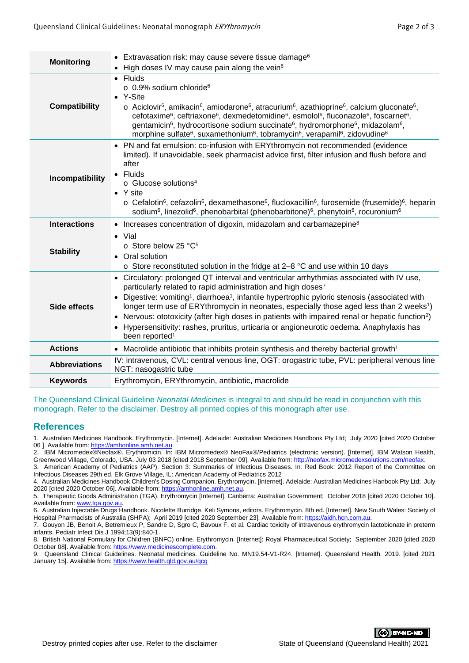| <b>Monitoring</b>    | • Extravasation risk: may cause severe tissue damage <sup>6</sup>                                                                                                                                                                                                                                                                                                                                                                                                                                                                                                                                                                        |  |
|----------------------|------------------------------------------------------------------------------------------------------------------------------------------------------------------------------------------------------------------------------------------------------------------------------------------------------------------------------------------------------------------------------------------------------------------------------------------------------------------------------------------------------------------------------------------------------------------------------------------------------------------------------------------|--|
|                      | High doses IV may cause pain along the vein <sup>6</sup><br>• Fluids<br>$\circ$ 0.9% sodium chloride <sup>6</sup>                                                                                                                                                                                                                                                                                                                                                                                                                                                                                                                        |  |
| <b>Compatibility</b> | • Y-Site<br>$\circ$ Aciclovir <sup>6</sup> , amikacin <sup>6</sup> , amiodarone <sup>6</sup> , atracurium <sup>6</sup> , azathioprine <sup>6</sup> , calcium gluconate <sup>6</sup> ,<br>cefotaxime <sup>6</sup> , ceftriaxone <sup>6</sup> , dexmedetomidine <sup>6</sup> , esmolol <sup>6</sup> , fluconazole <sup>6</sup> , foscarnet <sup>6</sup> ,<br>gentamicin <sup>6</sup> , hydrocortisone sodium succinate <sup>6</sup> , hydromorphone <sup>6</sup> , midazolam <sup>6</sup> ,<br>morphine sulfate <sup>6</sup> , suxamethonium <sup>6</sup> , tobramycin <sup>6</sup> , verapamil <sup>6</sup> , zidovudine <sup>6</sup>     |  |
| Incompatibility      | • PN and fat emulsion: co-infusion with ERYthromycin not recommended (evidence<br>limited). If unavoidable, seek pharmacist advice first, filter infusion and flush before and<br>after<br>• Fluids<br>o Glucose solutions <sup>4</sup><br>$\bullet$ Y site<br>$\circ$ Cefalotin <sup>6</sup> , cefazolin <sup>6</sup> , dexamethasone <sup>6</sup> , flucloxacillin <sup>6</sup> , furosemide (frusemide) <sup>6</sup> , heparin<br>sodium <sup>6</sup> , linezolid <sup>6</sup> , phenobarbital (phenobarbitone) <sup>6</sup> , phenytoin <sup>6</sup> , rocuronium <sup>6</sup>                                                       |  |
| <b>Interactions</b>  | • Increases concentration of digoxin, midazolam and carbamazepine <sup>8</sup>                                                                                                                                                                                                                                                                                                                                                                                                                                                                                                                                                           |  |
| <b>Stability</b>     | $\bullet$ Vial<br>o Store below 25 °C <sup>5</sup><br>• Oral solution<br>o Store reconstituted solution in the fridge at 2-8 °C and use within 10 days                                                                                                                                                                                                                                                                                                                                                                                                                                                                                   |  |
| Side effects         | • Circulatory: prolonged QT interval and ventricular arrhythmias associated with IV use,<br>particularly related to rapid administration and high doses <sup>7</sup><br>Digestive: vomiting <sup>1</sup> , diarrhoea <sup>1</sup> , infantile hypertrophic pyloric stenosis (associated with<br>longer term use of ERYthromycin in neonates, especially those aged less than 2 weeks <sup>1</sup> )<br>Nervous: ototoxicity (after high doses in patients with impaired renal or hepatic function <sup>2</sup> )<br>Hypersensitivity: rashes, pruritus, urticaria or angioneurotic oedema. Anaphylaxis has<br>been reported <sup>1</sup> |  |
| <b>Actions</b>       | • Macrolide antibiotic that inhibits protein synthesis and thereby bacterial growth <sup>1</sup>                                                                                                                                                                                                                                                                                                                                                                                                                                                                                                                                         |  |
| <b>Abbreviations</b> | IV: intravenous, CVL: central venous line, OGT: orogastric tube, PVL: peripheral venous line<br>NGT: nasogastric tube                                                                                                                                                                                                                                                                                                                                                                                                                                                                                                                    |  |
| <b>Keywords</b>      | Erythromycin, ERYthromycin, antibiotic, macrolide                                                                                                                                                                                                                                                                                                                                                                                                                                                                                                                                                                                        |  |

The Queensland Clinical Guideline *Neonatal Medicines* is integral to and should be read in conjunction with this monograph. Refer to the disclaimer. Destroy all printed copies of this monograph after use.

## **References**

1. Australian Medicines Handbook. Erythromycin. [Internet]. Adelaide: Australian Medicines Handbook Pty Ltd; July 2020 [cited 2020 October 06 ]. Available from: https://amhonline.amh.net.au

2. IBM Micromedex®Neofax®. Erythromicin. In: IBM Micromedex® NeoFax®/Pediatrics (electronic version). [Internet]. IBM Watson Health, Greenwood Village, Colorado, USA. July 03 2018 [cited 2018 September 09]. Available from[: http://neofax.micromedexsolutions.com/neofax.](http://neofax.micromedexsolutions.com/neofax)

3. American Academy of Pediatrics (AAP). Section 3: Summaries of Infectious Diseases. In: Red Book: 2012 Report of the Committee on Infectious Diseases 29th ed. Elk Grove Village, IL: American Academy of Pediatrics 2012

4. Australian Medicines Handbook Children's Dosing Companion. Erythromycin. [Internet]. Adelaide: Australian Medicines Hanbook Pty Ltd; July 2020 [cited 2020 October 06]. Available from[: https://amhonline.amh.net.au.](https://amhonline.amh.net.au/)

5. Therapeutic Goods Administration (TGA). Erythromycin [Internet]. Canberra: Australian Government; October 2018 [cited 2020 October 10]. Available from: www.tga.gov.au

6. Australian Injectable Drugs Handbook. Nicolette Burridge, Keli Symons, editors. Erythromycin. 8th ed. [Internet]. New South Wales: Society of Hospital Pharmacists of Australia (SHPA); April 2019 [cited 2020 September 23]. Available from[: https://aidh.hcn.com.au.](https://aidh.hcn.com.au/)

7. Gouyon JB, Benoit A, Betremieux P, Sandre D, Sgro C, Bavoux F, et al. Cardiac toxicity of intravenous erythromycin lactobionate in preterm infants. Pediatr Infect Dis J 1994;13(9):840-1.

8. British National Formulary for Children (BNFC) online. Erythromycin. [Internet]: Royal Pharmaceutical Society; September 2020 [cited 2020 October 08]. Available from: https://www.medicinescomplete.com

9. Queensland Clinical Guidelines. Neonatal medicines. Guideline No. MN19.54-V1-R24. [Internet]. Queensland Health. 2019. [cited 2021 January 15]. Available from:<https://www.health.qld.gov.au/qcg>